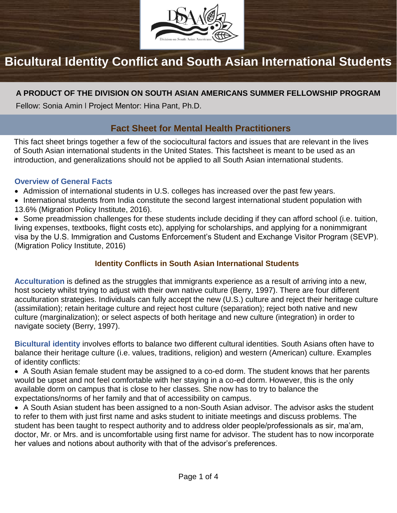

# **Bicultural Identity Conflict and South Asian International Students**

# **A PRODUCT OF THE DIVISION ON SOUTH ASIAN AMERICANS SUMMER FELLOWSHIP PROGRAM**

Fellow: Sonia Amin ǀ Project Mentor: Hina Pant, Ph.D.

# **Fact Sheet for Mental Health Practitioners**

This fact sheet brings together a few of the sociocultural factors and issues that are relevant in the lives of South Asian international students in the United States. This factsheet is meant to be used as an introduction, and generalizations should not be applied to all South Asian international students.

#### **Overview of General Facts**

- Admission of international students in U.S. colleges has increased over the past few years.
- International students from India constitute the second largest international student population with 13.6% (Migration Policy Institute, 2016).

• Some preadmission challenges for these students include deciding if they can afford school (i.e. tuition, living expenses, textbooks, flight costs etc), applying for scholarships, and applying for a nonimmigrant visa by the U.S. Immigration and Customs Enforcement's Student and Exchange Visitor Program (SEVP). (Migration Policy Institute, 2016)

## **Identity Conflicts in South Asian International Students**

**Acculturation** is defined as the struggles that immigrants experience as a result of arriving into a new, host society whilst trying to adjust with their own native culture (Berry, 1997). There are four different acculturation strategies. Individuals can fully accept the new (U.S.) culture and reject their heritage culture (assimilation); retain heritage culture and reject host culture (separation); reject both native and new culture (marginalization); or select aspects of both heritage and new culture (integration) in order to navigate society (Berry, 1997).

**Bicultural identity** involves efforts to balance two different cultural identities. South Asians often have to balance their heritage culture (i.e. values, traditions, religion) and western (American) culture. Examples of identity conflicts:

• A South Asian female student may be assigned to a co-ed dorm. The student knows that her parents would be upset and not feel comfortable with her staying in a co-ed dorm. However, this is the only available dorm on campus that is close to her classes. She now has to try to balance the expectations/norms of her family and that of accessibility on campus.

• A South Asian student has been assigned to a non-South Asian advisor. The advisor asks the student to refer to them with just first name and asks student to initiate meetings and discuss problems. The student has been taught to respect authority and to address older people/professionals as sir, ma'am, doctor, Mr. or Mrs. and is uncomfortable using first name for advisor. The student has to now incorporate her values and notions about authority with that of the advisor's preferences.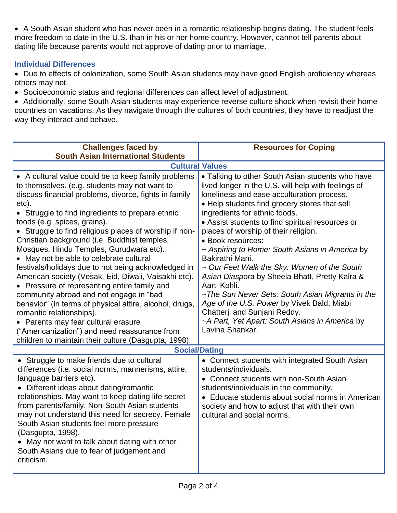• A South Asian student who has never been in a romantic relationship begins dating. The student feels more freedom to date in the U.S. than in his or her home country. However, cannot tell parents about dating life because parents would not approve of dating prior to marriage.

## **Individual Differences**

• Due to effects of colonization, some South Asian students may have good English proficiency whereas others may not.

• Socioeconomic status and regional differences can affect level of adjustment.

• Additionally, some South Asian students may experience reverse culture shock when revisit their home countries on vacations. As they navigate through the cultures of both countries, they have to readjust the way they interact and behave.

| <b>Challenges faced by</b>                                                                                                                                                                                                                                                                                                                                                                                                                                                                                                                                                                                                                                                                                                                                                                                                                                                                                  | <b>Resources for Coping</b>                                                                                                                                                                                                                                                                                                                                                                                                                                                                                                                                                                                                                                                                                                                           |  |
|-------------------------------------------------------------------------------------------------------------------------------------------------------------------------------------------------------------------------------------------------------------------------------------------------------------------------------------------------------------------------------------------------------------------------------------------------------------------------------------------------------------------------------------------------------------------------------------------------------------------------------------------------------------------------------------------------------------------------------------------------------------------------------------------------------------------------------------------------------------------------------------------------------------|-------------------------------------------------------------------------------------------------------------------------------------------------------------------------------------------------------------------------------------------------------------------------------------------------------------------------------------------------------------------------------------------------------------------------------------------------------------------------------------------------------------------------------------------------------------------------------------------------------------------------------------------------------------------------------------------------------------------------------------------------------|--|
| <b>South Asian International Students</b>                                                                                                                                                                                                                                                                                                                                                                                                                                                                                                                                                                                                                                                                                                                                                                                                                                                                   |                                                                                                                                                                                                                                                                                                                                                                                                                                                                                                                                                                                                                                                                                                                                                       |  |
| <b>Cultural Values</b>                                                                                                                                                                                                                                                                                                                                                                                                                                                                                                                                                                                                                                                                                                                                                                                                                                                                                      |                                                                                                                                                                                                                                                                                                                                                                                                                                                                                                                                                                                                                                                                                                                                                       |  |
| • A cultural value could be to keep family problems<br>to themselves. (e.g. students may not want to<br>discuss financial problems, divorce, fights in family<br>etc).<br>• Struggle to find ingredients to prepare ethnic<br>foods (e.g. spices, grains).<br>• Struggle to find religious places of worship if non-<br>Christian background (i.e. Buddhist temples,<br>Mosques, Hindu Temples, Gurudwara etc).<br>• May not be able to celebrate cultural<br>festivals/holidays due to not being acknowledged in<br>American society (Vesak, Eid, Diwali, Vaisakhi etc).<br>• Pressure of representing entire family and<br>community abroad and not engage in "bad<br>behavior" (in terms of physical attire, alcohol, drugs,<br>romantic relationships).<br>• Parents may fear cultural erasure<br>("Americanization") and need reassurance from<br>children to maintain their culture (Dasgupta, 1998). | • Talking to other South Asian students who have<br>lived longer in the U.S. will help with feelings of<br>loneliness and ease acculturation process.<br>• Help students find grocery stores that sell<br>ingredients for ethnic foods.<br>• Assist students to find spiritual resources or<br>places of worship of their religion.<br>· Book resources:<br>~ Aspiring to Home: South Asians in America by<br>Bakirathi Mani.<br>~ Our Feet Walk the Sky: Women of the South<br>Asian Diaspora by Sheela Bhatt, Pretty Kalra &<br>Aarti Kohli.<br>~The Sun Never Sets: South Asian Migrants in the<br>Age of the U.S. Power by Vivek Bald, Miabi<br>Chatterji and Sunjani Reddy.<br>~A Part, Yet Apart: South Asians in America by<br>Lavina Shankar. |  |
| <b>Social/Dating</b>                                                                                                                                                                                                                                                                                                                                                                                                                                                                                                                                                                                                                                                                                                                                                                                                                                                                                        |                                                                                                                                                                                                                                                                                                                                                                                                                                                                                                                                                                                                                                                                                                                                                       |  |
| • Struggle to make friends due to cultural<br>differences (i.e. social norms, mannerisms, attire,<br>language barriers etc).<br>• Different ideas about dating/romantic<br>relationships. May want to keep dating life secret<br>from parents/family. Non-South Asian students<br>may not understand this need for secrecy. Female<br>South Asian students feel more pressure<br>(Dasgupta, 1998).<br>• May not want to talk about dating with other<br>South Asians due to fear of judgement and<br>criticism.                                                                                                                                                                                                                                                                                                                                                                                             | • Connect students with integrated South Asian<br>students/individuals.<br>• Connect students with non-South Asian<br>students/individuals in the community.<br>• Educate students about social norms in American<br>society and how to adjust that with their own<br>cultural and social norms.                                                                                                                                                                                                                                                                                                                                                                                                                                                      |  |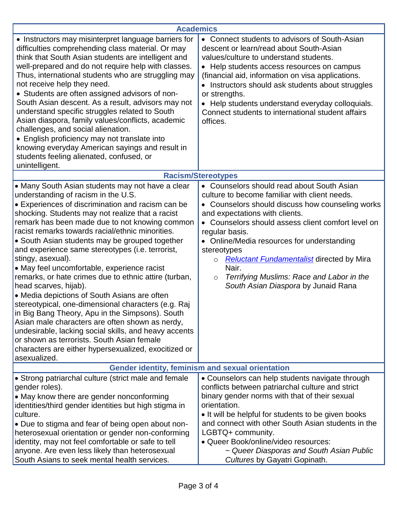| <b>Academics</b>                                                                                                                                                                                                                                                                                                                                                                                                                                                                                                                                                                                                                                                                                                                                                                                                                                                                                                                                               |                                                                                                                                                                                                                                                                                                                                                                                                                                                                                               |  |
|----------------------------------------------------------------------------------------------------------------------------------------------------------------------------------------------------------------------------------------------------------------------------------------------------------------------------------------------------------------------------------------------------------------------------------------------------------------------------------------------------------------------------------------------------------------------------------------------------------------------------------------------------------------------------------------------------------------------------------------------------------------------------------------------------------------------------------------------------------------------------------------------------------------------------------------------------------------|-----------------------------------------------------------------------------------------------------------------------------------------------------------------------------------------------------------------------------------------------------------------------------------------------------------------------------------------------------------------------------------------------------------------------------------------------------------------------------------------------|--|
| • Instructors may misinterpret language barriers for<br>difficulties comprehending class material. Or may<br>think that South Asian students are intelligent and<br>well-prepared and do not require help with classes.<br>Thus, international students who are struggling may<br>not receive help they need.<br>• Students are often assigned advisors of non-<br>South Asian descent. As a result, advisors may not<br>understand specific struggles related to South<br>Asian diaspora, family values/conflicts, academic<br>challenges, and social alienation.<br>• English proficiency may not translate into<br>knowing everyday American sayings and result in<br>students feeling alienated, confused, or<br>unintelligent.                                                                                                                                                                                                                            | • Connect students to advisors of South-Asian<br>descent or learn/read about South-Asian<br>values/culture to understand students.<br>• Help students access resources on campus<br>(financial aid, information on visa applications.<br>• Instructors should ask students about struggles<br>or strengths.<br>Help students understand everyday colloquials.<br>Connect students to international student affairs<br>offices.                                                                |  |
| <b>Racism/Stereotypes</b>                                                                                                                                                                                                                                                                                                                                                                                                                                                                                                                                                                                                                                                                                                                                                                                                                                                                                                                                      |                                                                                                                                                                                                                                                                                                                                                                                                                                                                                               |  |
| • Many South Asian students may not have a clear<br>understanding of racism in the U.S.<br>• Experiences of discrimination and racism can be<br>shocking. Students may not realize that a racist<br>remark has been made due to not knowing common<br>racist remarks towards racial/ethnic minorities.<br>• South Asian students may be grouped together<br>and experience same stereotypes (i.e. terrorist,<br>stingy, asexual).<br>• May feel uncomfortable, experience racist<br>remarks, or hate crimes due to ethnic attire (turban,<br>head scarves, hijab).<br>• Media depictions of South Asians are often<br>stereotypical, one-dimensional characters (e.g. Raj<br>in Big Bang Theory, Apu in the Simpsons). South<br>Asian male characters are often shown as nerdy,<br>undesirable, lacking social skills, and heavy accents<br>or shown as terrorists. South Asian female<br>characters are either hypersexualized, exocitized or<br>asexualized. | • Counselors should read about South Asian<br>culture to become familiar with client needs.<br>• Counselors should discuss how counseling works<br>and expectations with clients.<br>• Counselors should assess client comfort level on<br>regular basis.<br>• Online/Media resources for understanding<br>stereotypes<br><b>Reluctant Fundamentalist</b> directed by Mira<br>$\circ$<br>Nair.<br>Terrifying Muslims: Race and Labor in the<br>$\circ$<br>South Asian Diaspora by Junaid Rana |  |
| Gender identity, feminism and sexual orientation                                                                                                                                                                                                                                                                                                                                                                                                                                                                                                                                                                                                                                                                                                                                                                                                                                                                                                               |                                                                                                                                                                                                                                                                                                                                                                                                                                                                                               |  |
| • Strong patriarchal culture (strict male and female<br>gender roles).<br>• May know there are gender nonconforming<br>identities/third gender identities but high stigma in<br>culture.<br>• Due to stigma and fear of being open about non-<br>heterosexual orientation or gender non-conforming<br>identity, may not feel comfortable or safe to tell<br>anyone. Are even less likely than heterosexual<br>South Asians to seek mental health services.                                                                                                                                                                                                                                                                                                                                                                                                                                                                                                     | • Counselors can help students navigate through<br>conflicts between patriarchal culture and strict<br>binary gender norms with that of their sexual<br>orientation.<br>• It will be helpful for students to be given books<br>and connect with other South Asian students in the<br>LGBTQ+ community.<br>• Queer Book/online/video resources:<br>~ Queer Diasporas and South Asian Public<br>Cultures by Gayatri Gopinath.                                                                   |  |